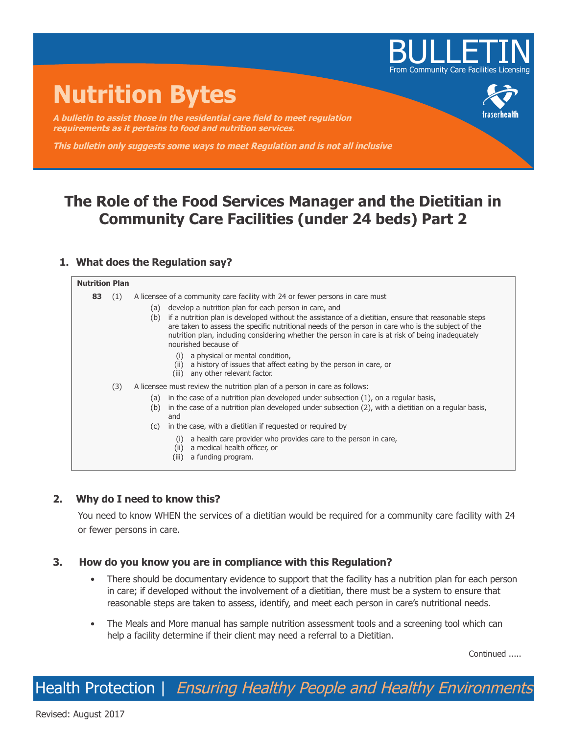

# **Nutrition Bytes**

**A bulletin to assist those in the residential care field to meet regulation requirements as it pertains to food and nutrition services.**

**This bulletin only suggests some ways to meet Regulation and is not all inclusive**

# **The Role of the Food Services Manager and the Dietitian in Community Care Facilities (under 24 beds) Part 2**

# **1. What does the Regulation say?**

#### **Nutrition Plan 83** (1) A licensee of a community care facility with 24 or fewer persons in care must (a) develop a nutrition plan for each person in care, and (b) if a nutrition plan is developed without the assistance of a dietitian, ensure that reasonable steps are taken to assess the specific nutritional needs of the person in care who is the subject of the nutrition plan, including considering whether the person in care is at risk of being inadequately nourished because of (i) a physical or mental condition, (ii) a history of issues that affect eating by the person in care, or (iii) any other relevant factor. (3) A licensee must review the nutrition plan of a person in care as follows: (a) in the case of a nutrition plan developed under subsection (1), on a regular basis, (b) in the case of a nutrition plan developed under subsection (2), with a dietitian on a regular basis, and (c) in the case, with a dietitian if requested or required by (i) a health care provider who provides care to the person in care, (ii) a medical health officer, or (iii) a funding program.

# **2. Why do I need to know this?**

You need to know WHEN the services of a dietitian would be required for a community care facility with 24 or fewer persons in care.

## **3. How do you know you are in compliance with this Regulation?**

- There should be documentary evidence to support that the facility has a nutrition plan for each person in care; if developed without the involvement of a dietitian, there must be a system to ensure that reasonable steps are taken to assess, identify, and meet each person in care's nutritional needs.
- The Meals and More manual has sample nutrition assessment tools and a screening tool which can help a facility determine if their client may need a referral to a Dietitian.

Continued .....

Health Protection | Ensuring Healthy People and Healthy Environments

Revised: August 2017